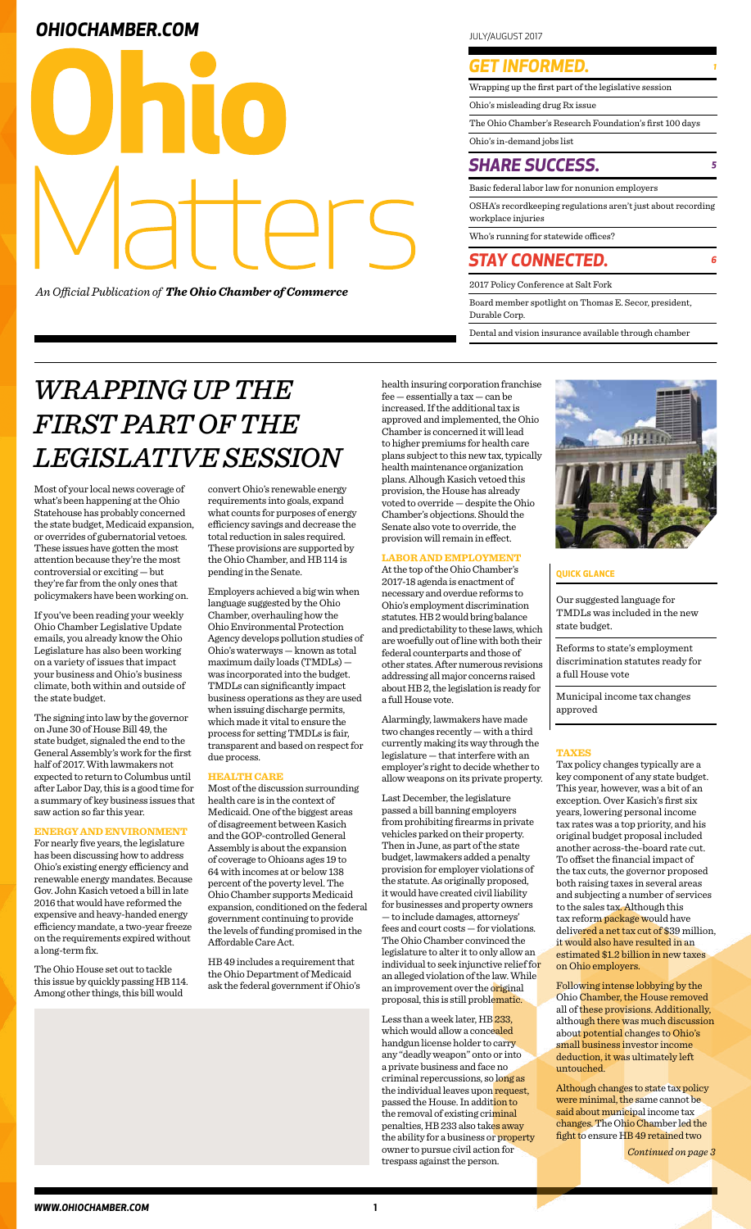Wrapping up the first part of the legislative session

Ohio's misleading drug Rx issue

The Ohio Chamber's Research Foundation's first 100 days

Ohio's in-demand jobs list

## **OHIOCHAMBER.COM JULY/AUGUST 2017**



*An Official Publication of The Ohio Chamber of Commerce*

### *GET INFORMED. <sup>1</sup>*

Basic federal labor law for nonunion employers

OSHA's recordkeeping regulations aren't just about recording workplace injuries

Who's running for statewide offices?

2017 Policy Conference at Salt Fork

Board member spotlight on Thomas E. Secor, president, Durable Corp.

Dental and vision insurance available through chamber

## *STAY CONNECTED. <sup>6</sup>*

### *SHARE SUCCESS. <sup>5</sup>*

# *WRAPPING UP THE FIRST PART OF THE LEGISLATIVE SESSION*

Most of your local news coverage of what's been happening at the Ohio Statehouse has probably concerned the state budget, Medicaid expansion, or overrides of gubernatorial vetoes. These issues have gotten the most attention because they're the most controversial or exciting — but they're far from the only ones that policymakers have been working on.

If you've been reading your weekly Ohio Chamber Legislative Update emails, you already know the Ohio Legislature has also been working on a variety of issues that impact your business and Ohio's business climate, both within and outside of the state budget.

The signing into law by the governor on June 30 of House Bill 49, the state budget, signaled the end to the General Assembly's work for the first half of 2017. With lawmakers not expected to return to Columbus until after Labor Day, this is a good time for a summary of key business issues that saw action so far this year.

#### **ENERGY AND ENVIRONMENT**

For nearly five years, the legislature has been discussing how to address Ohio's existing energy efficiency and renewable energy mandates. Because Gov. John Kasich vetoed a bill in late 2016 that would have reformed the expensive and heavy-handed energy efficiency mandate, a two-year freeze on the requirements expired without a long-term fix.

The Ohio House set out to tackle this issue by quickly passing HB 114. Among other things, this bill would

#### **QUICK GLANCE**

convert Ohio's renewable energy requirements into goals, expand what counts for purposes of energy efficiency savings and decrease the total reduction in sales required. These provisions are supported by the Ohio Chamber, and HB 114 is pending in the Senate.

Employers achieved a big win when language suggested by the Ohio Chamber, overhauling how the Ohio Environmental Protection Agency develops pollution studies of Ohio's waterways — known as total maximum daily loads (TMDLs) was incorporated into the budget. TMDLs can significantly impact business operations as they are used when issuing discharge permits, which made it vital to ensure the process for setting TMDLs is fair, transparent and based on respect for due process.

> Less than a week later, HB 233, which would allow a concealed handgun license holder to carry any "deadly weapon" onto or into a private business and face no criminal repercussions, so long as the individual leaves upon request, passed the House. In addition to the removal of existing criminal penalties, HB 233 also takes away the ability for a business or property owner to pursue civil action for trespass against the person.

#### **HEALTH CARE**

Most of the discussion surrounding health care is in the context of Medicaid. One of the biggest areas of disagreement between Kasich and the GOP-controlled General Assembly is about the expansion of coverage to Ohioans ages 19 to 64 with incomes at or below 138 percent of the poverty level. The Ohio Chamber supports Medicaid expansion, conditioned on the federal government continuing to provide the levels of funding promised in the Affordable Care Act.

HB 49 includes a requirement that the Ohio Department of Medicaid ask the federal government if Ohio's health insuring corporation franchise fee — essentially a tax — can be increased. If the additional tax is approved and implemented, the Ohio Chamber is concerned it will lead to higher premiums for health care plans subject to this new tax, typically health maintenance organization plans. Alhough Kasich vetoed this provision, the House has already voted to override — despite the Ohio Chamber's objections. Should the Senate also vote to override, the provision will remain in effect.

#### **LABOR AND EMPLOYMENT**

At the top of the Ohio Chamber's 2017-18 agenda is enactment of necessary and overdue reforms to Ohio's employment discrimination statutes. HB 2 would bring balance and predictability to these laws, which are woefully out of line with both their federal counterparts and those of other states. After numerous revisions addressing all major concerns raised about HB 2, the legislation is ready for a full House vote.

Alarmingly, lawmakers have made two changes recently — with a third currently making its way through the legislature — that interfere with an employer's right to decide whether to allow weapons on its private property.

Last December, the legislature passed a bill banning employers from prohibiting firearms in private vehicles parked on their property. Then in June, as part of the state budget, lawmakers added a penalty provision for employer violations of the statute. As originally proposed, it would have created civil liability for businesses and property owners — to include damages, attorneys' fees and court costs — for violations. The Ohio Chamber convinced the legislature to alter it to only allow an individual to seek injunctive relief for an alleged violation of the law. While an improvement over the original proposal, this is still problematic.



Our suggested language for TMDLs was included in the new state budget.

Reforms to state's employment discrimination statutes ready for a full House vote

Municipal income tax changes approved

#### **TAXES**

Tax policy changes typically are a key component of any state budget. This year, however, was a bit of an exception. Over Kasich's first six years, lowering personal income tax rates was a top priority, and his original budget proposal included another across-the-board rate cut. To offset the financial impact of the tax cuts, the governor proposed both raising taxes in several areas and subjecting a number of services to the sales tax. Although this tax reform package would have delivered a net tax cut of \$39 million, it would also have resulted in an estimated \$1.2 billion in new taxes on Ohio employers.

Following intense lobbying by the Ohio Chamber, the House removed all of these provisions. Additionally, although there was much discussion about potential changes to Ohio's small business investor income deduction, it was ultimately left untouched.

Although changes to state tax policy were minimal, the same cannot be said about municipal income tax changes. The Ohio Chamber led the fight to ensure HB 49 retained two

*Continued on page 3*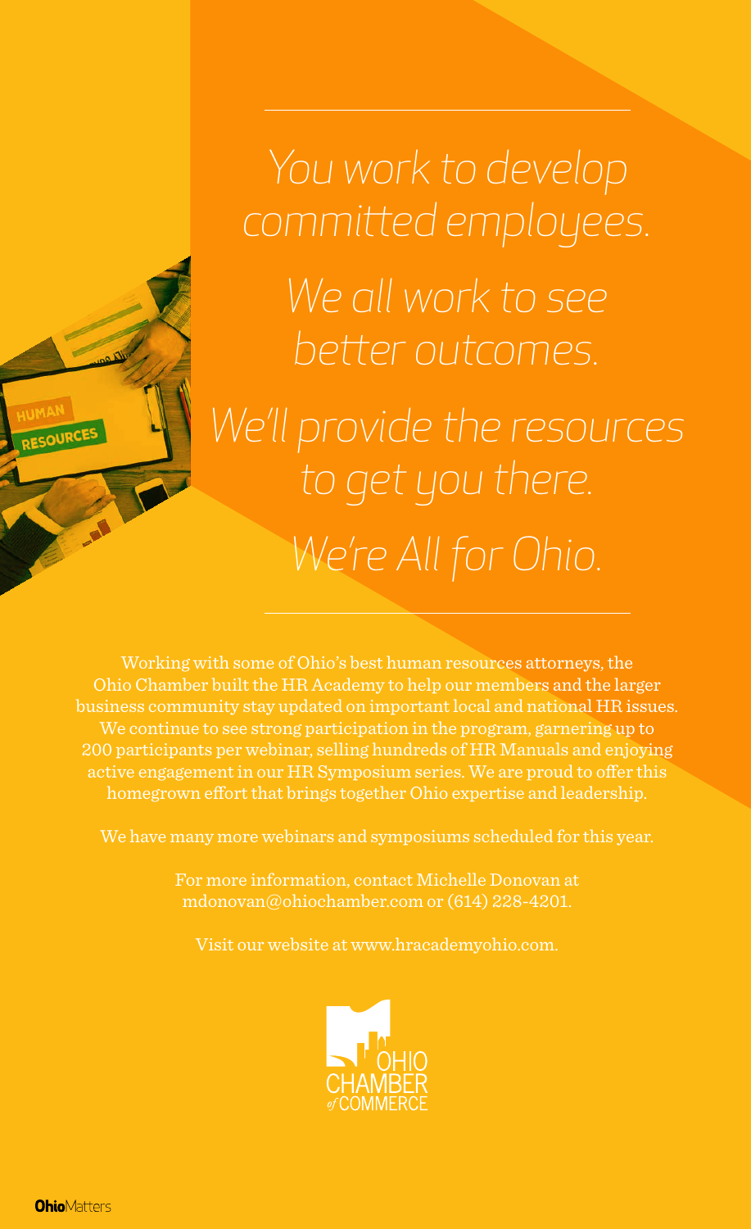

*You work to develop committed employees. We all work to see better outcomes. We'll provide the resources to get you there. We're All for Ohio.*

Working with some of Ohio's best human resources attorneys, the Ohio Chamber built the HR Academy to help our members and the larger business community stay updated on important local and national HR issues. We continue to see strong participation in the program, garnering up to 200 participants per webinar, selling hundreds of HR Manuals and enjoying active engagement in our HR Symposium series. We are proud to offer this homegrown effort that brings together Ohio expertise and leadership.

We have many more webinars and symposiums scheduled for this year.

For more information, contact Michelle Donovan at mdonovan@ohiochamber.com or (614) 228-4201.

Visit our website at www.hracademyohio.com.



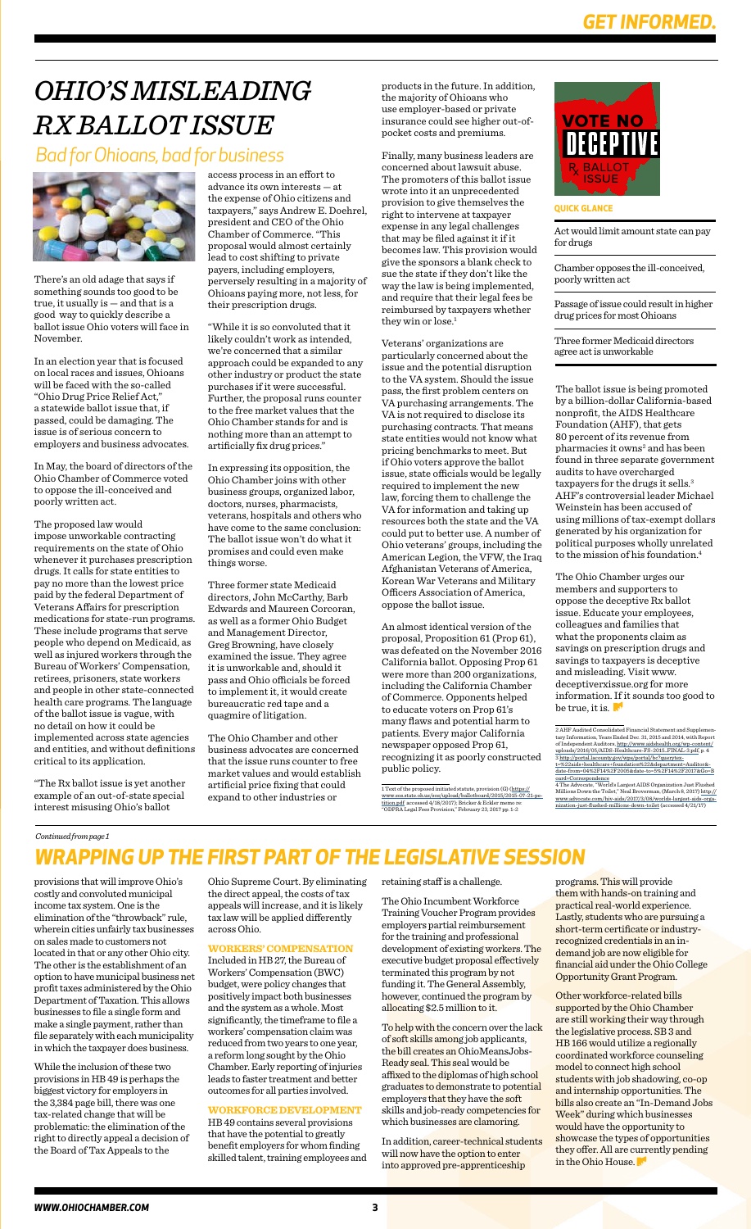# *OHIO'S MISLEADING RX BALLOT ISSUE*

## *Bad for Ohioans, bad for business*



access process in an effort to advance its own interests — at the expense of Ohio citizens and taxpayers," says Andrew E. Doehrel, president and CEO of the Ohio Chamber of Commerce. "This proposal would almost certainly lead to cost shifting to private payers, including employers, perversely resulting in a majority of Ohioans paying more, not less, for their prescription drugs.

"While it is so convoluted that it likely couldn't work as intended, we're concerned that a similar approach could be expanded to any other industry or product the state purchases if it were successful. Further, the proposal runs counter to the free market values that the Ohio Chamber stands for and is nothing more than an attempt to artificially fix drug prices."

In expressing its opposition, the Ohio Chamber joins with other business groups, organized labor, doctors, nurses, pharmacists, veterans, hospitals and others who have come to the same conclusion: The ballot issue won't do what it promises and could even make things worse.

Three former state Medicaid directors, John McCarthy, Barb Edwards and Maureen Corcoran, as well as a former Ohio Budget and Management Director, Greg Browning, have closely examined the issue. They agree it is unworkable and, should it pass and Ohio officials be forced to implement it, it would create bureaucratic red tape and a quagmire of litigation.

The Ohio Chamber and other business advocates are concerned that the issue runs counter to free market values and would establish artificial price fixing that could expand to other industries or

There's an old adage that says if something sounds too good to be true, it usually is — and that is a good way to quickly describe a ballot issue Ohio voters will face in November.

> The Ohio Chamber urges our members and supporters to oppose the deceptive Rx ballot issue. Educate your employees, colleagues and families that what the proponents claim as savings on prescription drugs and savings to taxpayers is deceptive and misleading. Visit www. deceptiverxissue.org for more information. If it sounds too good to be true, it is.  $\mathbb{R}^n$

In an election year that is focused on local races and issues, Ohioans will be faced with the so-called "Ohio Drug Price Relief Act," a statewide ballot issue that, if passed, could be damaging. The issue is of serious concern to employers and business advocates.

In May, the board of directors of the Ohio Chamber of Commerce voted to oppose the ill-conceived and poorly written act.

Finally, many business leaders are concerned about lawsuit abuse. The promoters of this ballot issue wrote into it an unprecedented provision to give themselves the right to intervene at taxpayer expense in any legal challenges that may be filed against it if it becomes law. This provision would give the sponsors a blank check to sue the state if they don't like the way the law is being implemented, and require that their legal fees be reimbursed by taxpayers whether they win or lose.<sup>1</sup>

The proposed law would impose unworkable contracting requirements on the state of Ohio whenever it purchases prescription drugs. It calls for state entities to pay no more than the lowest price paid by the federal Department of Veterans Affairs for prescription medications for state-run programs. These include programs that serve people who depend on Medicaid, as well as injured workers through the Bureau of Workers' Compensation, retirees, prisoners, state workers and people in other state-connected health care programs. The language of the ballot issue is vague, with no detail on how it could be implemented across state agencies and entities, and without definitions critical to its application.

"The Rx ballot issue is yet another example of an out-of-state special interest misusing Ohio's ballot

Act would limit amount state can pay for drugs

Chamber opposes the ill-conceived, poorly written act

Passage of issue could result in higher drug prices for most Ohioans

Three former Medicaid directors agree act is unworkable

#### **QUICK GLANCE**

The ballot issue is being promoted by a billion-dollar California-based nonprofit, the AIDS Healthcare Foundation (AHF), that gets 80 percent of its revenue from pharmacies it owns<sup>2</sup> and has been found in three separate government audits to have overcharged taxpayers for the drugs it sells.<sup>3</sup> AHF's controversial leader Michael Weinstein has been accused of using millions of tax-exempt dollars generated by his organization for political purposes wholly unrelated to the mission of his foundation.4

To help with the concern over the lack of soft skills among job applicants, the bill creates an OhioMeansJobs-Ready seal. This seal would be affixed to the diplomas of high school graduates to demonstrate to potential employers that they have the soft skills and job-ready competencies for which businesses are clamoring.

Other workforce-related bills supported by the Ohio Chamber are still working their way through the legislative process. SB 3 and HB 166 would utilize a regionally coordinated workforce counseling model to connect high school students with job shadowing, co-op and internship opportunities. The bills also create an "In-Demand Jobs Week" during which businesses would have the opportunity to showcase the types of opportunities they offer. All are currently pending in the Ohio House.

products in the future. In addition, the majority of Ohioans who use employer-based or private insurance could see higher out-ofpocket costs and premiums.

Veterans' organizations are particularly concerned about the issue and the potential disruption to the VA system. Should the issue pass, the first problem centers on VA purchasing arrangements. The VA is not required to disclose its purchasing contracts. That means state entities would not know what pricing benchmarks to meet. But if Ohio voters approve the ballot issue, state officials would be legally required to implement the new law, forcing them to challenge the VA for information and taking up resources both the state and the VA could put to better use. A number of Ohio veterans' groups, including the American Legion, the VFW, the Iraq Afghanistan Veterans of America, Korean War Veterans and Military Officers Association of America, oppose the ballot issue.

An almost identical version of the proposal, Proposition 61 (Prop 61), was defeated on the November 2016 California ballot. Opposing Prop 61 were more than 200 organizations, including the California Chamber of Commerce. Opponents helped to educate voters on Prop 61's many flaws and potential harm to patients. Every major California newspaper opposed Prop 61, recognizing it as poorly constructed public policy.

1 Text of the proposed initiated statute, provision (G) (https:// www.sos.state.oh.us/sos/upload/ballotboard/2015/2015-07-21-pe-tition.pdf accessed 4/18/2017); Bricker & Eckler memo re: "ODPRA Legal Fees Provision," February 23, 2017 pp. 1-2



provisions that will improve Ohio's costly and convoluted municipal income tax system. One is the elimination of the "throwback" rule, wherein cities unfairly tax businesses on sales made to customers not located in that or any other Ohio city. The other is the establishment of an option to have municipal business net profit taxes administered by the Ohio Department of Taxation. This allows businesses to file a single form and make a single payment, rather than file separately with each municipality in which the taxpayer does business.

While the inclusion of these two provisions in HB 49 is perhaps the biggest victory for employers in the 3,384 page bill, there was one tax-related change that will be problematic: the elimination of the right to directly appeal a decision of the Board of Tax Appeals to the

Ohio Supreme Court. By eliminating the direct appeal, the costs of tax appeals will increase, and it is likely tax law will be applied differently across Ohio.

**WORKERS' COMPENSATION** Included in HB 27, the Bureau of Workers' Compensation (BWC) budget, were policy changes that positively impact both businesses and the system as a whole. Most significantly, the timeframe to file a workers' compensation claim was reduced from two years to one year, a reform long sought by the Ohio Chamber. Early reporting of injuries leads to faster treatment and better outcomes for all parties involved.

**WORKFORCE DEVELOPMENT**

HB 49 contains several provisions that have the potential to greatly benefit employers for whom finding skilled talent, training employees and retaining staff is a challenge.

The Ohio Incumbent Workforce Training Voucher Program provides employers partial reimbursement for the training and professional development of existing workers. The executive budget proposal effectively terminated this program by not funding it. The General Assembly, however, continued the program by allocating \$2.5 million to it.

In addition, career-technical students will now have the option to enter into approved pre-apprenticeship

programs. This will provide them with hands-on training and practical real-world experience. Lastly, students who are pursuing a short-term certificate or industryrecognized credentials in an indemand job are now eligible for financial aid under the Ohio College Opportunity Grant Program.

## *WRAPPING UP THE FIRST PART OF THE LEGISLATIVE SESSION*

<sup>2</sup> AHF Audited Consolidated Financial Statement and Supplemen-tary Information, Years Ended Dec. 31, 2015 and 2014, with Report of Independent Auditors, http://www.aidshealth.org/wp-content/ uploads/2016/05/AIDS-Healthcare-FS-2015\_FINAL-3.pdf, p. 4 3 http://portal.lacounty.gov/wps/portal/bc?querytext=%22aids+healthcare+foundation%22&department=Auditor&- date-from=04%2F14%2F2005&date-to=5%2F14%2F2017&Go=B oard+Correspondence 4 The Advocate, "World's Largest AIDS Organization Just Flushed

Millions Down the Toilet," Neal Broverman, (March 8, 2017) http:// www.advocate.com/hiv-aids/2017/3/08/worlds-largest-aids-orga-nization-just-flushed-millions-down-toilet (accessed 4/21/17)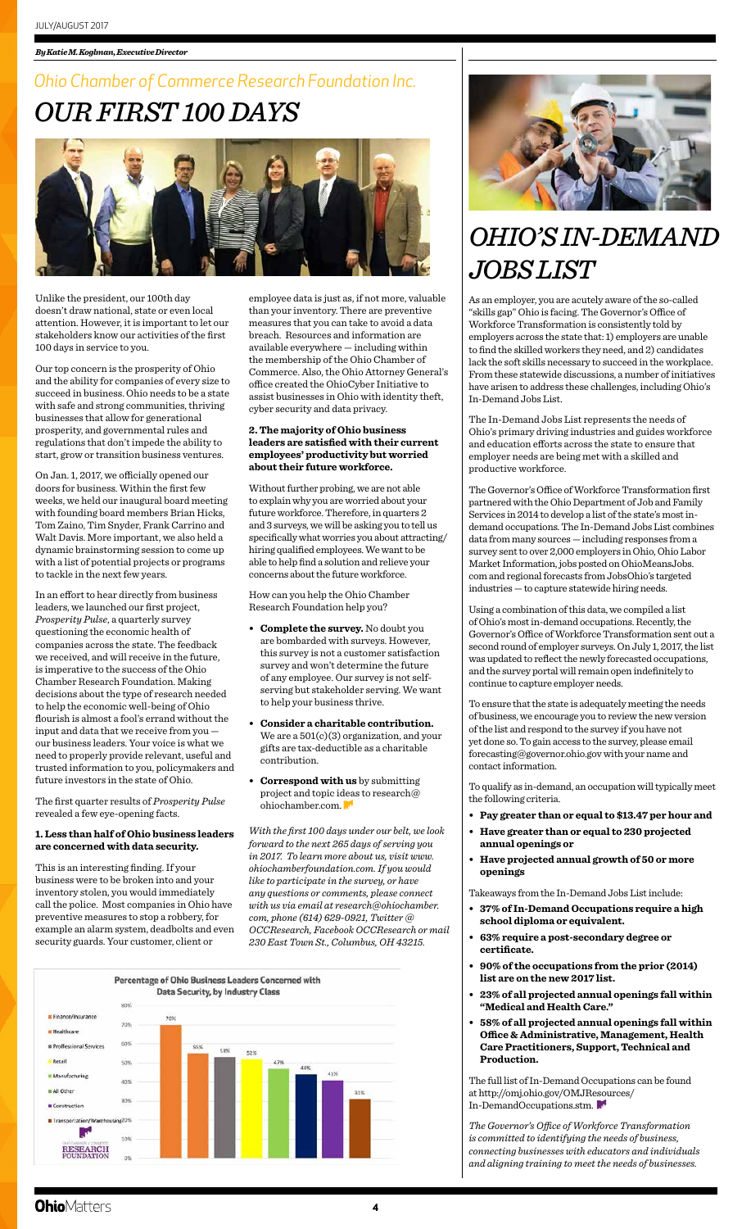Unlike the president, our 100th day doesn't draw national, state or even local attention. However, it is important to let our stakeholders know our activities of the first 100 days in service to you.

Our top concern is the prosperity of Ohio and the ability for companies of every size to succeed in business. Ohio needs to be a state with safe and strong communities, thriving businesses that allow for generational prosperity, and governmental rules and regulations that don't impede the ability to start, grow or transition business ventures.

On Jan. 1, 2017, we officially opened our doors for business. Within the first few weeks, we held our inaugural board meeting with founding board members Brian Hicks, Tom Zaino, Tim Snyder, Frank Carrino and Walt Davis. More important, we also held a dynamic brainstorming session to come up with a list of potential projects or programs to tackle in the next few years.

In an effort to hear directly from business leaders, we launched our first project, *Prosperity Pulse*, a quarterly survey questioning the economic health of companies across the state. The feedback we received, and will receive in the future, is imperative to the success of the Ohio Chamber Research Foundation. Making decisions about the type of research needed to help the economic well-being of Ohio flourish is almost a fool's errand without the input and data that we receive from you our business leaders. Your voice is what we need to properly provide relevant, useful and trusted information to you, policymakers and future investors in the state of Ohio.

The first quarter results of *Prosperity Pulse* revealed a few eye-opening facts.

#### **1. Less than half of Ohio business leaders are concerned with data security.**

This is an interesting finding. If your business were to be broken into and your inventory stolen, you would immediately call the police. Most companies in Ohio have preventive measures to stop a robbery, for example an alarm system, deadbolts and even security guards. Your customer, client or



## *Ohio Chamber of Commerce Research Foundation Inc. OUR FIRST 100 DAYS*



employee data is just as, if not more, valuable than your inventory. There are preventive measures that you can take to avoid a data breach. Resources and information are available everywhere — including within the membership of the Ohio Chamber of Commerce. Also, the Ohio Attorney General's office created the OhioCyber Initiative to assist businesses in Ohio with identity theft, cyber security and data privacy.

#### **2. The majority of Ohio business leaders are satisfied with their current employees' productivity but worried about their future workforce.**

Without further probing, we are not able to explain why you are worried about your future workforce. Therefore, in quarters 2 and 3 surveys, we will be asking you to tell us specifically what worries you about attracting/ hiring qualified employees. We want to be able to help find a solution and relieve your concerns about the future workforce.

How can you help the Ohio Chamber Research Foundation help you?

- **Complete the survey.** No doubt you are bombarded with surveys. However, this survey is not a customer satisfaction survey and won't determine the future of any employee. Our survey is not selfserving but stakeholder serving. We want to help your business thrive.
- **Consider a charitable contribution.**  We are a  $501(c)(3)$  organization, and your gifts are tax-deductible as a charitable contribution.
- **Correspond with us** by submitting project and topic ideas to research@ ohiochamber.com.

*With the first 100 days under our belt, we look forward to the next 265 days of serving you in 2017. To learn more about us, visit www. ohiochamberfoundation.com. If you would like to participate in the survey, or have any questions or comments, please connect with us via email at research@ohiochamber. com, phone (614) 629-0921, Twitter @ OCCResearch, Facebook OCCResearch or mail 230 East Town St., Columbus, OH 43215.*



#### *By Katie M. Koglman, Executive Director*

# *OHIO'S IN-DEMAND JOBS LIST*

As an employer, you are acutely aware of the so-called "skills gap" Ohio is facing. The Governor's Office of Workforce Transformation is consistently told by employers across the state that: 1) employers are unable to find the skilled workers they need, and 2) candidates lack the soft skills necessary to succeed in the workplace. From these statewide discussions, a number of initiatives have arisen to address these challenges, including Ohio's In-Demand Jobs List.

The In-Demand Jobs List represents the needs of Ohio's primary driving industries and guides workforce and education efforts across the state to ensure that employer needs are being met with a skilled and productive workforce.

The Governor's Office of Workforce Transformation first partnered with the Ohio Department of Job and Family Services in 2014 to develop a list of the state's most indemand occupations. The In-Demand Jobs List combines data from many sources — including responses from a survey sent to over 2,000 employers in Ohio, Ohio Labor Market Information, jobs posted on OhioMeansJobs. com and regional forecasts from JobsOhio's targeted industries — to capture statewide hiring needs.

Using a combination of this data, we compiled a list of Ohio's most in-demand occupations. Recently, the Governor's Office of Workforce Transformation sent out a second round of employer surveys. On July 1, 2017, the list was updated to reflect the newly forecasted occupations, and the survey portal will remain open indefinitely to continue to capture employer needs.

To ensure that the state is adequately meeting the needs of business, we encourage you to review the new version of the list and respond to the survey if you have not yet done so. To gain access to the survey, please email forecasting@governor.ohio.gov with your name and contact information.

To qualify as in-demand, an occupation will typically meet the following criteria.

- **Pay greater than or equal to \$13.47 per hour and**
- **Have greater than or equal to 230 projected annual openings or**

**• Have projected annual growth of 50 or more openings**

Takeaways from the In-Demand Jobs List include:

- **37% of In-Demand Occupations require a high school diploma or equivalent.**
- **63% require a post-secondary degree or certificate.**
- **90% of the occupations from the prior (2014) list are on the new 2017 list.**
- **23% of all projected annual openings fall within "Medical and Health Care."**
- **58% of all projected annual openings fall within Office & Administrative, Management, Health Care Practitioners, Support, Technical and Production.**

The full list of In-Demand Occupations can be found at http://omj.ohio.gov/OMJResources/ In-DemandOccupations.stm.

*The Governor's Office of Workforce Transformation is committed to identifying the needs of business, connecting businesses with educators and individuals and aligning training to meet the needs of businesses.* 

### **Ohio**Matters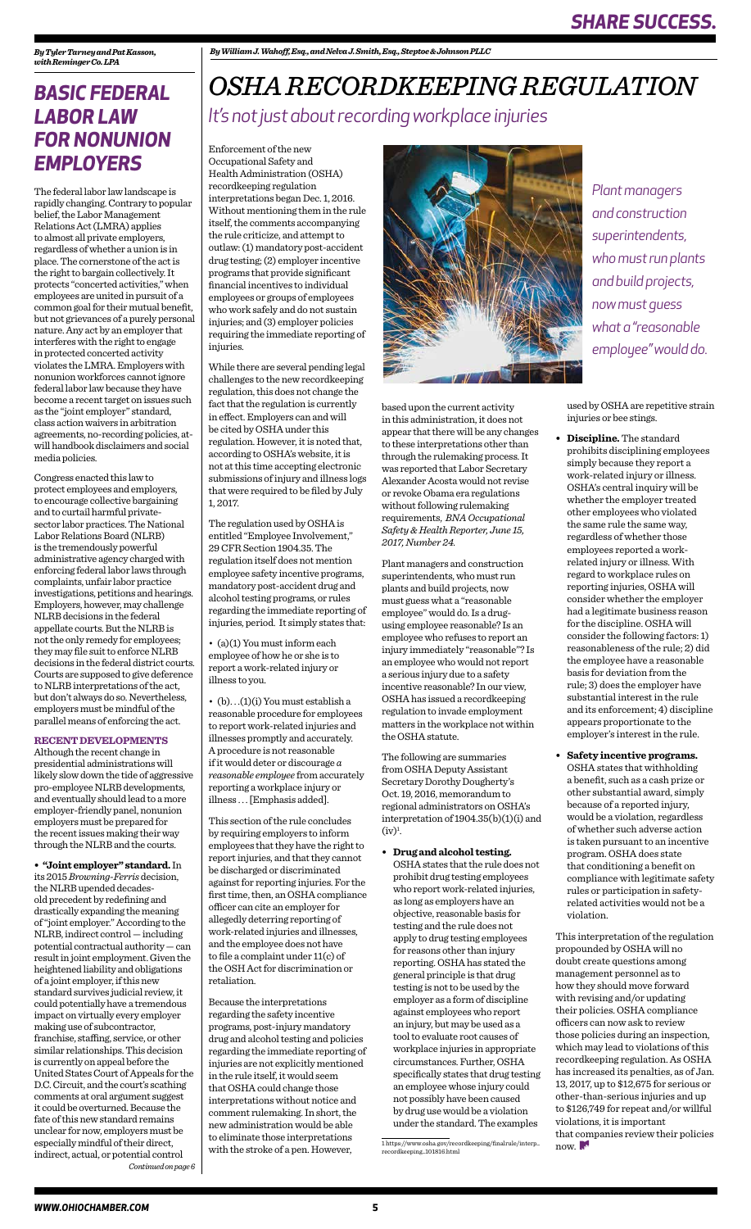The federal labor law landscape is rapidly changing. Contrary to popular belief, the Labor Management Relations Act (LMRA) applies to almost all private employers, regardless of whether a union is in place. The cornerstone of the act is the right to bargain collectively. It protects "concerted activities," when employees are united in pursuit of a common goal for their mutual benefit, but not grievances of a purely personal nature. Any act by an employer that interferes with the right to engage in protected concerted activity violates the LMRA. Employers with nonunion workforces cannot ignore federal labor law because they have become a recent target on issues such as the "joint employer" standard, class action waivers in arbitration agreements, no-recording policies, atwill handbook disclaimers and social media policies.

Congress enacted this law to protect employees and employers, to encourage collective bargaining and to curtail harmful privatesector labor practices. The National Labor Relations Board (NLRB) is the tremendously powerful administrative agency charged with enforcing federal labor laws through complaints, unfair labor practice investigations, petitions and hearings. Employers, however, may challenge NLRB decisions in the federal appellate courts. But the NLRB is not the only remedy for employees; they may file suit to enforce NLRB decisions in the federal district courts. Courts are supposed to give deference to NLRB interpretations of the act, but don't always do so. Nevertheless, employers must be mindful of the parallel means of enforcing the act.

#### **RECENT DEVELOPMENTS**

Although the recent change in presidential administrations will likely slow down the tide of aggressive pro-employee NLRB developments, and eventually should lead to a more employer-friendly panel, nonunion employers must be prepared for the recent issues making their way through the NLRB and the courts.

## *BASIC FEDERAL LABOR LAW FOR NONUNION EMPLOYERS*

Enforcement of the new Occupational Safety and Health Administration (OSHA) recordkeeping regulation interpretations began Dec. 1, 2016. Without mentioning them in the rule itself, the comments accompanying the rule criticize, and attempt to outlaw: (1) mandatory post-accident drug testing; (2) employer incentive programs that provide significant financial incentives to individual employees or groups of employees who work safely and do not sustain injuries; and (3) employer policies requiring the immediate reporting of injuries.

> The following are summaries from OSHA Deputy Assistant Secretary Dorothy Dougherty's Oct. 19, 2016, memorandum to regional administrators on OSHA's interpretation of 1904.35(b)(1)(i) and  $(iv)<sup>1</sup>$ .

While there are several pending legal challenges to the new recordkeeping regulation, this does not change the fact that the regulation is currently in effect. Employers can and will be cited by OSHA under this regulation. However, it is noted that, according to OSHA's website, it is not at this time accepting electronic submissions of injury and illness logs that were required to be filed by July 1, 2017.

The regulation used by OSHA is entitled "Employee Involvement," 29 CFR Section 1904.35. The regulation itself does not mention employee safety incentive programs, mandatory post-accident drug and alcohol testing programs, or rules regarding the immediate reporting of injuries, period. It simply states that:

• (a)(1) You must inform each employee of how he or she is to report a work-related injury or illness to you.

• (b). . .(1)(i) You must establish a reasonable procedure for employees to report work-related injuries and illnesses promptly and accurately. A procedure is not reasonable if it would deter or discourage *a reasonable employee* from accurately reporting a workplace injury or illness . . . [Emphasis added].

> This interpretation of the regulation propounded by OSHA will no doubt create questions among management personnel as to how they should move forward with revising and/or updating their policies. OSHA compliance officers can now ask to review those policies during an inspection, which may lead to violations of this recordkeeping regulation. As OSHA has increased its penalties, as of Jan. 13, 2017, up to \$12,675 for serious or other-than-serious injuries and up to \$126,749 for repeat and/or willful violations, it is important that companies review their policies now.

This section of the rule concludes by requiring employers to inform employees that they have the right to report injuries, and that they cannot be discharged or discriminated against for reporting injuries. For the first time, then, an OSHA compliance officer can cite an employer for allegedly deterring reporting of work-related injuries and illnesses, and the employee does not have to file a complaint under 11(c) of the OSH Act for discrimination or retaliation. Because the interpretations regarding the safety incentive programs, post-injury mandatory drug and alcohol testing and policies regarding the immediate reporting of injuries are not explicitly mentioned in the rule itself, it would seem that OSHA could change those interpretations without notice and comment rulemaking. In short, the new administration would be able to eliminate those interpretations with the stroke of a pen. However,



## *OSHA RECORDKEEPING REGULATION It's not just about recording workplace injuries*

*Plant managers and construction superintendents, who must run plants and build projects, now must guess what a "reasonable employee" would do.* 

**• "Joint employer" standard.** In its 2015 *Browning-Ferris* decision, the NLRB upended decadesold precedent by redefining and drastically expanding the meaning of "joint employer." According to the NLRB, indirect control — including potential contractual authority — can result in joint employment. Given the heightened liability and obligations of a joint employer, if this new standard survives judicial review, it could potentially have a tremendous impact on virtually every employer making use of subcontractor, franchise, staffing, service, or other similar relationships. This decision is currently on appeal before the United States Court of Appeals for the D.C. Circuit, and the court's scathing comments at oral argument suggest it could be overturned. Because the fate of this new standard remains unclear for now, employers must be especially mindful of their direct, indirect, actual, or potential control *Continued on page 6* *By William J. Wahoff, Esq., and Nelva J. Smith, Esq., Steptoe & Johnson PLLC*

based upon the current activity in this administration, it does not appear that there will be any changes to these interpretations other than through the rulemaking process. It was reported that Labor Secretary Alexander Acosta would not revise or revoke Obama era regulations without following rulemaking requirements, *BNA Occupational Safety & Health Reporter, June 15, 2017, Number 24.*

Plant managers and construction superintendents, who must run plants and build projects, now must guess what a "reasonable employee" would do. Is a drugusing employee reasonable? Is an employee who refuses to report an injury immediately "reasonable"? Is an employee who would not report a serious injury due to a safety incentive reasonable? In our view, OSHA has issued a recordkeeping regulation to invade employment matters in the workplace not within the OSHA statute.

**• Drug and alcohol testing.** 

OSHA states that the rule does not prohibit drug testing employees who report work-related injuries, as long as employers have an objective, reasonable basis for testing and the rule does not apply to drug testing employees for reasons other than injury reporting. OSHA has stated the general principle is that drug testing is not to be used by the employer as a form of discipline against employees who report an injury, but may be used as a tool to evaluate root causes of workplace injuries in appropriate circumstances. Further, OSHA specifically states that drug testing an employee whose injury could not possibly have been caused by drug use would be a violation under the standard. The examples

used by OSHA are repetitive strain injuries or bee stings.

**• Discipline.** The standard prohibits disciplining employees simply because they report a work-related injury or illness. OSHA's central inquiry will be whether the employer treated other employees who violated the same rule the same way, regardless of whether those employees reported a workrelated injury or illness. With regard to workplace rules on reporting injuries, OSHA will consider whether the employer had a legitimate business reason for the discipline. OSHA will consider the following factors: 1) reasonableness of the rule; 2) did the employee have a reasonable basis for deviation from the rule; 3) does the employer have substantial interest in the rule and its enforcement; 4) discipline appears proportionate to the employer's interest in the rule.

**• Safety incentive programs.**  OSHA states that withholding a benefit, such as a cash prize or other substantial award, simply because of a reported injury, would be a violation, regardless of whether such adverse action is taken pursuant to an incentive program. OSHA does state that conditioning a benefit on compliance with legitimate safety rules or participation in safetyrelated activities would not be a violation.

*By Tyler Tarney and Pat Kasson, with Reminger Co. LPA*

<sup>1</sup> https://www.osha.gov/recordkeeping/finalrule/interp\_ recordkeeping\_101816.html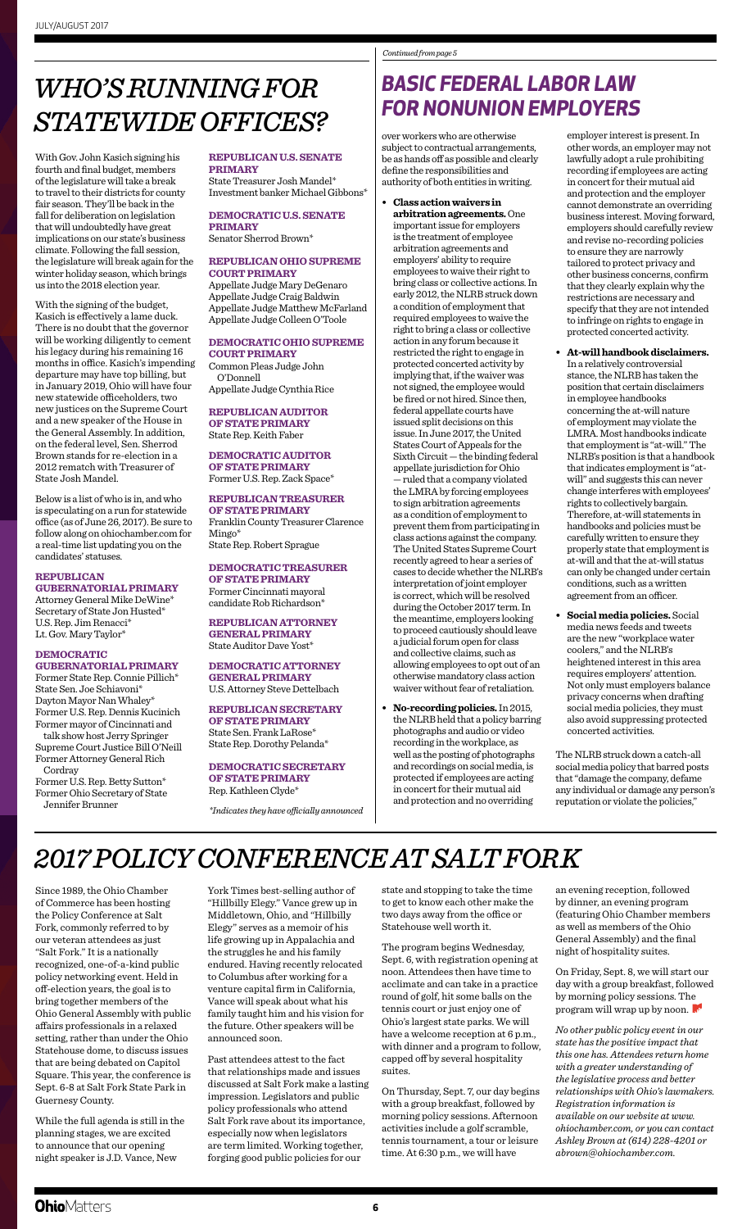With Gov. John Kasich signing his fourth and final budget, members of the legislature will take a break to travel to their districts for county fair season. They'll be back in the fall for deliberation on legislation that will undoubtedly have great implications on our state's business climate. Following the fall session, the legislature will break again for the winter holiday season, which brings us into the 2018 election year.

With the signing of the budget, Kasich is effectively a lame duck. There is no doubt that the governor will be working diligently to cement his legacy during his remaining 16 months in office. Kasich's impending departure may have top billing, but in January 2019, Ohio will have four new statewide officeholders, two new justices on the Supreme Court and a new speaker of the House in the General Assembly. In addition, on the federal level, Sen. Sherrod Brown stands for re-election in a 2012 rematch with Treasurer of State Josh Mandel.

Below is a list of who is in, and who is speculating on a run for statewide office (as of June 26, 2017). Be sure to follow along on ohiochamber.com for a real-time list updating you on the candidates' statuses.

#### **REPUBLICAN GUBERNATORIAL PRIMARY**

Attorney General Mike DeWine\* Secretary of State Jon Husted\* U.S. Rep. Jim Renacci\* Lt. Gov. Mary Taylor\*

#### **DEMOCRATIC GUBERNATORIAL PRIMARY**

Former State Rep. Connie Pillich\* State Sen. Joe Schiavoni\* Dayton Mayor Nan Whaley\* Former U.S. Rep. Dennis Kucinich Former mayor of Cincinnati and talk show host Jerry Springer Supreme Court Justice Bill O'Neill Former Attorney General Rich Cordray Former U.S. Rep. Betty Sutton\* Former Ohio Secretary of State

Jennifer Brunner

## *WHO'S RUNNING FOR STATEWIDE OFFICES?*

#### **REPUBLICAN U.S. SENATE PRIMARY**

State Treasurer Josh Mandel\* Investment banker Michael Gibbons\*

### **DEMOCRATIC U.S. SENATE PRIMARY**

Senator Sherrod Brown\*

#### **REPUBLICAN OHIO SUPREME COURT PRIMARY**

Appellate Judge Mary DeGenaro Appellate Judge Craig Baldwin Appellate Judge Matthew McFarland Appellate Judge Colleen O'Toole

#### **DEMOCRATIC OHIO SUPREME COURT PRIMARY**

Common Pleas Judge John O'Donnell Appellate Judge Cynthia Rice

**REPUBLICAN AUDITOR OF STATE PRIMARY** State Rep. Keith Faber

#### **DEMOCRATIC AUDITOR OF STATE PRIMARY**  Former U.S. Rep. Zack Space\*

### **REPUBLICAN TREASURER**

**OF STATE PRIMARY** Franklin County Treasurer Clarence Mingo\* State Rep. Robert Sprague

#### **DEMOCRATIC TREASURER OF STATE PRIMARY**

Former Cincinnati mayoral candidate Rob Richardson\*

**REPUBLICAN ATTORNEY GENERAL PRIMARY** State Auditor Dave Yost\*

#### **DEMOCRATIC ATTORNEY GENERAL PRIMARY**

U.S. Attorney Steve Dettelbach

#### **REPUBLICAN SECRETARY OF STATE PRIMARY**

State Sen. Frank LaRose\* State Rep. Dorothy Pelanda\*

#### **DEMOCRATIC SECRETARY OF STATE PRIMARY**

Rep. Kathleen Clyde\*

*\*Indicates they have officially announced*

Since 1989, the Ohio Chamber of Commerce has been hosting the Policy Conference at Salt Fork, commonly referred to by our veteran attendees as just "Salt Fork." It is a nationally recognized, one-of-a-kind public policy networking event. Held in off-election years, the goal is to bring together members of the Ohio General Assembly with public affairs professionals in a relaxed setting, rather than under the Ohio Statehouse dome, to discuss issues that are being debated on Capitol Square. This year, the conference is Sept. 6-8 at Salt Fork State Park in Guernesy County.

While the full agenda is still in the planning stages, we are excited to announce that our opening night speaker is J.D. Vance, New

York Times best-selling author of "Hillbilly Elegy." Vance grew up in Middletown, Ohio, and "Hillbilly Elegy" serves as a memoir of his life growing up in Appalachia and the struggles he and his family endured. Having recently relocated to Columbus after working for a venture capital firm in California, Vance will speak about what his family taught him and his vision for the future. Other speakers will be announced soon.

Past attendees attest to the fact that relationships made and issues discussed at Salt Fork make a lasting impression. Legislators and public policy professionals who attend Salt Fork rave about its importance, especially now when legislators are term limited. Working together, forging good public policies for our

state and stopping to take the time to get to know each other make the two days away from the office or Statehouse well worth it.

The program begins Wednesday, Sept. 6, with registration opening at noon. Attendees then have time to acclimate and can take in a practice round of golf, hit some balls on the tennis court or just enjoy one of Ohio's largest state parks. We will have a welcome reception at 6 p.m., with dinner and a program to follow, capped off by several hospitality suites.

On Thursday, Sept. 7, our day begins with a group breakfast, followed by morning policy sessions. Afternoon activities include a golf scramble, tennis tournament, a tour or leisure time. At 6:30 p.m., we will have

an evening reception, followed by dinner, an evening program (featuring Ohio Chamber members as well as members of the Ohio General Assembly) and the final night of hospitality suites.

On Friday, Sept. 8, we will start our day with a group breakfast, followed by morning policy sessions. The program will wrap up by noon.

*No other public policy event in our state has the positive impact that this one has. Attendees return home with a greater understanding of the legislative process and better relationships with Ohio's lawmakers. Registration information is available on our website at www. ohiochamber.com, or you can contact Ashley Brown at (614) 228-4201 or abrown@ohiochamber.com.*

## *2017 POLICY CONFERENCE AT SALT FORK*

over workers who are otherwise subject to contractual arrangements, be as hands off as possible and clearly define the responsibilities and authority of both entities in writing.

*Keith Lake, center* and collective claims, such as **• Class action waivers in arbitration agreements.** One important issue for employers is the treatment of employee arbitration agreements and employers' ability to require employees to waive their right to bring class or collective actions. In early 2012, the NLRB struck down a condition of employment that required employees to waive the right to bring a class or collective action in any forum because it restricted the right to engage in protected concerted activity by implying that, if the waiver was not signed, the employee would be fired or not hired. Since then, federal appellate courts have issued split decisions on this issue. In June 2017, the United States Court of Appeals for the Sixth Circuit — the binding federal appellate jurisdiction for Ohio — ruled that a company violated the LMRA by forcing employees to sign arbitration agreements as a condition of employment to prevent them from participating in class actions against the company. The United States Supreme Court recently agreed to hear a series of cases to decide whether the NLRB's interpretation of joint employer is correct, which will be resolved during the October 2017 term. In the meantime, employers looking to proceed cautiously should leave a judicial forum open for class allowing employees to opt out of an otherwise mandatory class action waiver without fear of retaliation.

**• No-recording policies.** In 2015, the NLRB held that a policy barring photographs and audio or video recording in the workplace, as well as the posting of photographs and recordings on social media, is protected if employees are acting in concert for their mutual aid and protection and no overriding

employer interest is present. In other words, an employer may not lawfully adopt a rule prohibiting recording if employees are acting in concert for their mutual aid and protection and the employer cannot demonstrate an overriding business interest. Moving forward, employers should carefully review and revise no-recording policies to ensure they are narrowly tailored to protect privacy and other business concerns, confirm that they clearly explain why the restrictions are necessary and specify that they are not intended to infringe on rights to engage in protected concerted activity.

- **At-will handbook disclaimers.**  In a relatively controversial stance, the NLRB has taken the position that certain disclaimers in employee handbooks concerning the at-will nature of employment may violate the LMRA. Most handbooks indicate that employment is "at-will." The NLRB's position is that a handbook that indicates employment is "atwill" and suggests this can never change interferes with employees' rights to collectively bargain. Therefore, at-will statements in handbooks and policies must be carefully written to ensure they properly state that employment is at-will and that the at-will status can only be changed under certain conditions, such as a written agreement from an officer.
- **Social media policies.** Social media news feeds and tweets are the new "workplace water coolers," and the NLRB's heightened interest in this area requires employers' attention. Not only must employers balance privacy concerns when drafting social media policies, they must also avoid suppressing protected concerted activities.

The NLRB struck down a catch-all social media policy that barred posts that "damage the company, defame any individual or damage any person's reputation or violate the policies,"

## *BASIC FEDERAL LABOR LAW FOR NONUNION EMPLOYERS*

*Continued from page 5*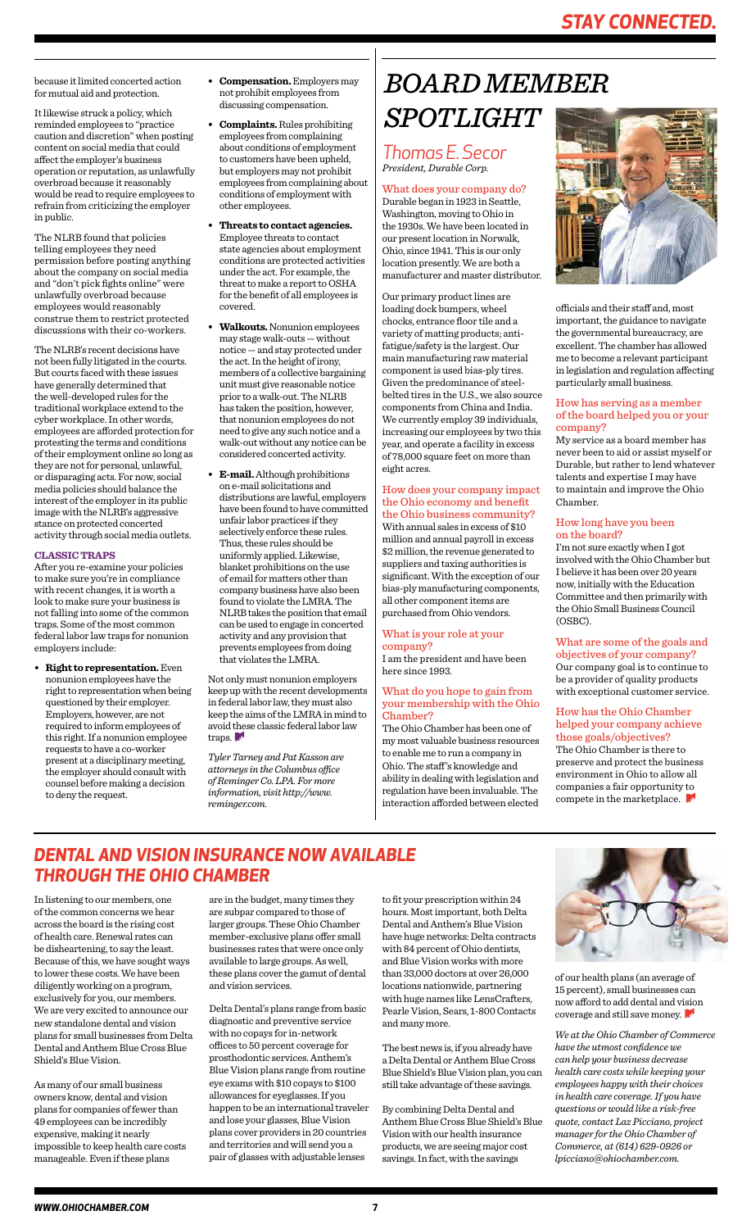## *STAY CONNECTED.*

*Thomas E. Secor President, Durable Corp.*

What does your company do? Durable began in 1923 in Seattle, Washington, moving to Ohio in the 1930s. We have been located in our present location in Norwalk, Ohio, since 1941. This is our only location presently. We are both a manufacturer and master distributor.

Our primary product lines are loading dock bumpers, wheel chocks, entrance floor tile and a variety of matting products; antifatigue/safety is the largest. Our main manufacturing raw material component is used bias-ply tires. Given the predominance of steelbelted tires in the U.S., we also source components from China and India. We currently employ 39 individuals, increasing our employees by two this year, and operate a facility in excess of 78,000 square feet on more than eight acres.

How does your company impact the Ohio economy and benefit the Ohio business community? With annual sales in excess of \$10 million and annual payroll in excess \$2 million, the revenue generated to suppliers and taxing authorities is significant. With the exception of our bias-ply manufacturing components, all other component items are purchased from Ohio vendors.

#### What is your role at your company?

I am the president and have been here since 1993.

> The Ohio Chamber is there to preserve and protect the business environment in Ohio to allow all companies a fair opportunity to compete in the marketplace.

#### What do you hope to gain from your membership with the Ohio Chamber?

The Ohio Chamber has been one of my most valuable business resources to enable me to run a company in Ohio. The staff's knowledge and ability in dealing with legislation and regulation have been invaluable. The interaction afforded between elected



# *BOARD MEMBER SPOTLIGHT*

officials and their staff and, most important, the guidance to navigate the governmental bureaucracy, are excellent. The chamber has allowed me to become a relevant participant in legislation and regulation affecting particularly small business.

#### How has serving as a member of the board helped you or your company?

My service as a board member has never been to aid or assist myself or Durable, but rather to lend whatever talents and expertise I may have to maintain and improve the Ohio Chamber.

### How long have you been on the board?

I'm not sure exactly when I got involved with the Ohio Chamber but I believe it has been over 20 years now, initially with the Education Committee and then primarily with the Ohio Small Business Council (OSBC).

#### What are some of the goals and objectives of your company? Our company goal is to continue to be a provider of quality products with exceptional customer service.

### How has the Ohio Chamber helped your company achieve those goals/objectives?

In listening to our members, one of the common concerns we hear across the board is the rising cost of health care. Renewal rates can be disheartening, to say the least. Because of this, we have sought ways to lower these costs. We have been diligently working on a program, exclusively for you, our members. We are very excited to announce our new standalone dental and vision plans for small businesses from Delta Dental and Anthem Blue Cross Blue Shield's Blue Vision.

As many of our small business owners know, dental and vision plans for companies of fewer than 49 employees can be incredibly expensive, making it nearly impossible to keep health care costs manageable. Even if these plans

are in the budget, many times they are subpar compared to those of larger groups. These Ohio Chamber member-exclusive plans offer small businesses rates that were once only available to large groups. As well, these plans cover the gamut of dental and vision services.

Delta Dental's plans range from basic diagnostic and preventive service with no copays for in-network offices to 50 percent coverage for prosthodontic services. Anthem's Blue Vision plans range from routine eye exams with \$10 copays to \$100 allowances for eyeglasses. If you happen to be an international traveler and lose your glasses, Blue Vision plans cover providers in 20 countries and territories and will send you a pair of glasses with adjustable lenses

to fit your prescription within 24 hours. Most important, both Delta Dental and Anthem's Blue Vision have huge networks: Delta contracts with 84 percent of Ohio dentists, and Blue Vision works with more than 33,000 doctors at over 26,000 locations nationwide, partnering with huge names like LensCrafters, Pearle Vision, Sears, 1-800 Contacts and many more.

Not only must nonunion employers keep up with the recent developments in federal labor law, they must also keep the aims of the LMRA in mind to avoid these classic federal labor law traps.

> The best news is, if you already have a Delta Dental or Anthem Blue Cross Blue Shield's Blue Vision plan, you can still take advantage of these savings.

> By combining Delta Dental and Anthem Blue Cross Blue Shield's Blue Vision with our health insurance products, we are seeing major cost savings. In fact, with the savings



of our health plans (an average of 15 percent), small businesses can now afford to add dental and vision coverage and still save money.

*We at the Ohio Chamber of Commerce have the utmost confidence we can help your business decrease health care costs while keeping your employees happy with their choices in health care coverage. If you have questions or would like a risk-free quote, contact Laz Picciano, project manager for the Ohio Chamber of Commerce, at (614) 629-0926 or lpicciano@ohiochamber.com.* 

## *DENTAL AND VISION INSURANCE NOW AVAILABLE THROUGH THE OHIO CHAMBER*

because it limited concerted action for mutual aid and protection.

It likewise struck a policy, which reminded employees to "practice caution and discretion" when posting content on social media that could affect the employer's business operation or reputation, as unlawfully overbroad because it reasonably would be read to require employees to refrain from criticizing the employer in public.

The NLRB found that policies telling employees they need permission before posting anything about the company on social media and "don't pick fights online" were unlawfully overbroad because employees would reasonably construe them to restrict protected discussions with their co-workers.

The NLRB's recent decisions have not been fully litigated in the courts. But courts faced with these issues have generally determined that the well-developed rules for the traditional workplace extend to the cyber workplace. In other words, employees are afforded protection for protesting the terms and conditions of their employment online so long as they are not for personal, unlawful, or disparaging acts. For now, social media policies should balance the interest of the employer in its public image with the NLRB's aggressive stance on protected concerted activity through social media outlets.

#### **CLASSIC TRAPS**

After you re-examine your policies to make sure you're in compliance with recent changes, it is worth a look to make sure your business is not falling into some of the common traps. Some of the most common federal labor law traps for nonunion employers include:

**• Right to representation.** Even nonunion employees have the right to representation when being questioned by their employer. Employers, however, are not required to inform employees of this right. If a nonunion employee requests to have a co-worker present at a disciplinary meeting, the employer should consult with counsel before making a decision to deny the request.

- **Compensation.** Employers may not prohibit employees from discussing compensation.
- **Complaints.** Rules prohibiting employees from complaining about conditions of employment to customers have been upheld, but employers may not prohibit employees from complaining about conditions of employment with other employees.
- **Threats to contact agencies.**  Employee threats to contact state agencies about employment conditions are protected activities under the act. For example, the threat to make a report to OSHA for the benefit of all employees is covered.
- **Walkouts.** Nonunion employees may stage walk-outs — without notice — and stay protected under the act. In the height of irony, members of a collective bargaining unit must give reasonable notice prior to a walk-out. The NLRB has taken the position, however, that nonunion employees do not need to give any such notice and a walk-out without any notice can be considered concerted activity.
- **E-mail.** Although prohibitions on e-mail solicitations and distributions are lawful, employers have been found to have committed unfair labor practices if they selectively enforce these rules. Thus, these rules should be uniformly applied. Likewise, blanket prohibitions on the use of email for matters other than company business have also been found to violate the LMRA. The NLRB takes the position that email can be used to engage in concerted activity and any provision that prevents employees from doing that violates the LMRA.

*Tyler Tarney and Pat Kasson are attorneys in the Columbus office of Reminger Co. LPA. For more information, visit http://www. reminger.com.*